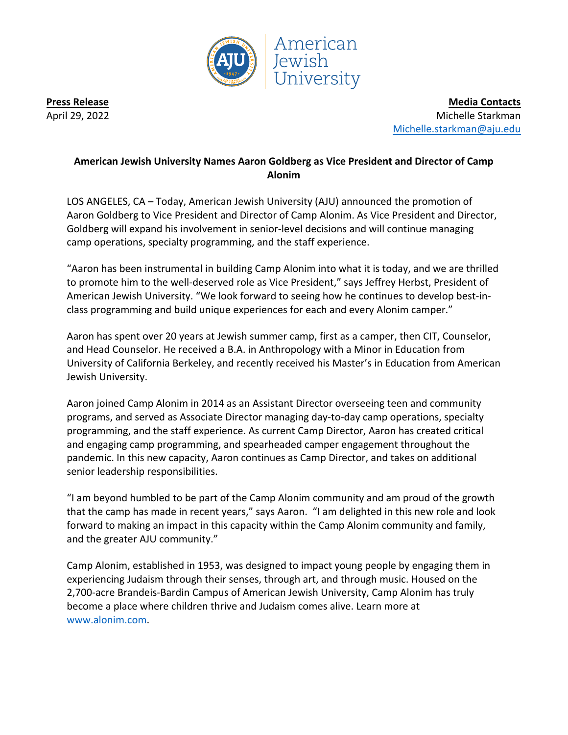

**Press Release** April 29, 2022

**Media Contacts** Michelle Starkman Michelle.starkman@aju.edu

## **American Jewish University Names Aaron Goldberg as Vice President and Director of Camp Alonim**

LOS ANGELES, CA – Today, American Jewish University (AJU) announced the promotion of Aaron Goldberg to Vice President and Director of Camp Alonim. As Vice President and Director, Goldberg will expand his involvement in senior-level decisions and will continue managing camp operations, specialty programming, and the staff experience.

"Aaron has been instrumental in building Camp Alonim into what it is today, and we are thrilled to promote him to the well-deserved role as Vice President," says Jeffrey Herbst, President of American Jewish University. "We look forward to seeing how he continues to develop best-inclass programming and build unique experiences for each and every Alonim camper."

Aaron has spent over 20 years at Jewish summer camp, first as a camper, then CIT, Counselor, and Head Counselor. He received a B.A. in Anthropology with a Minor in Education from University of California Berkeley, and recently received his Master's in Education from American Jewish University.

Aaron joined Camp Alonim in 2014 as an Assistant Director overseeing teen and community programs, and served as Associate Director managing day-to-day camp operations, specialty programming, and the staff experience. As current Camp Director, Aaron has created critical and engaging camp programming, and spearheaded camper engagement throughout the pandemic. In this new capacity, Aaron continues as Camp Director, and takes on additional senior leadership responsibilities.

"I am beyond humbled to be part of the Camp Alonim community and am proud of the growth that the camp has made in recent years," says Aaron. "I am delighted in this new role and look forward to making an impact in this capacity within the Camp Alonim community and family, and the greater AJU community."

Camp Alonim, established in 1953, was designed to impact young people by engaging them in experiencing Judaism through their senses, through art, and through music. Housed on the 2,700-acre Brandeis-Bardin Campus of American Jewish University, Camp Alonim has truly become a place where children thrive and Judaism comes alive. Learn more at www.alonim.com.